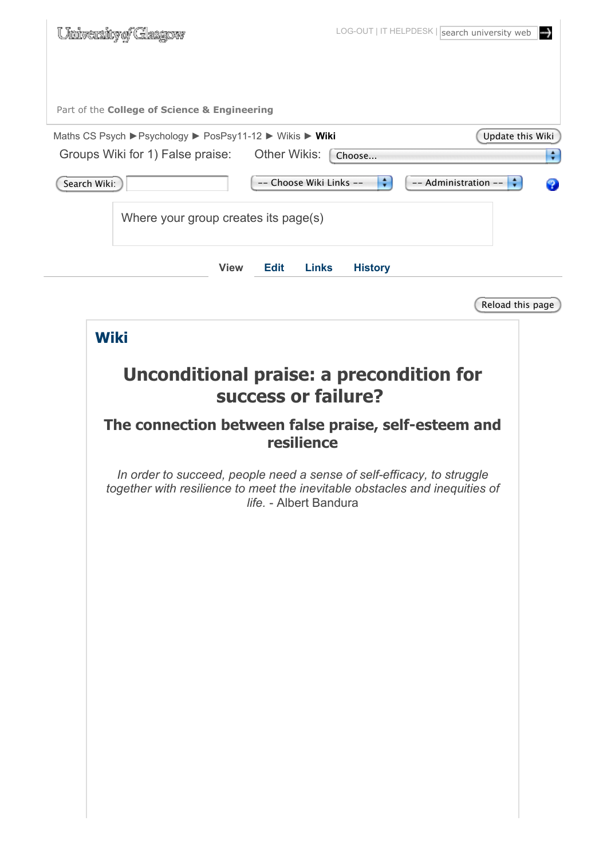|              | University of Glasgow                                                                                                                                 |             |                         |                | LOG-OUT   IT HELPDESK   search university web |                  | → |  |
|--------------|-------------------------------------------------------------------------------------------------------------------------------------------------------|-------------|-------------------------|----------------|-----------------------------------------------|------------------|---|--|
|              | Part of the College of Science & Engineering                                                                                                          |             |                         |                |                                               |                  |   |  |
|              | Maths CS Psych ▶ Psychology ▶ PosPsy11-12 ▶ Wikis ▶ Wiki<br>Groups Wiki for 1) False praise:                                                          |             | <b>Other Wikis:</b>     | Choose         |                                               | Update this Wiki | ÷ |  |
| Search Wiki: |                                                                                                                                                       |             | -- Choose Wiki Links -- | $\div$         | -- Administration --                          | ÷                |   |  |
|              | Where your group creates its page(s)                                                                                                                  |             |                         |                |                                               |                  |   |  |
|              | <b>View</b>                                                                                                                                           | <b>Edit</b> | <b>Links</b>            | <b>History</b> |                                               |                  |   |  |
|              |                                                                                                                                                       |             |                         |                |                                               | Reload this page |   |  |
|              | <b>Wiki</b><br><b>Unconditional praise: a precondition for</b>                                                                                        |             |                         |                |                                               |                  |   |  |
|              |                                                                                                                                                       |             | success or failure?     |                |                                               |                  |   |  |
|              | The connection between false praise, self-esteem and<br>resilience                                                                                    |             |                         |                |                                               |                  |   |  |
|              | In order to succeed, people need a sense of self-efficacy, to struggle<br>together with resilience to meet the inevitable obstacles and inequities of |             | life. - Albert Bandura  |                |                                               |                  |   |  |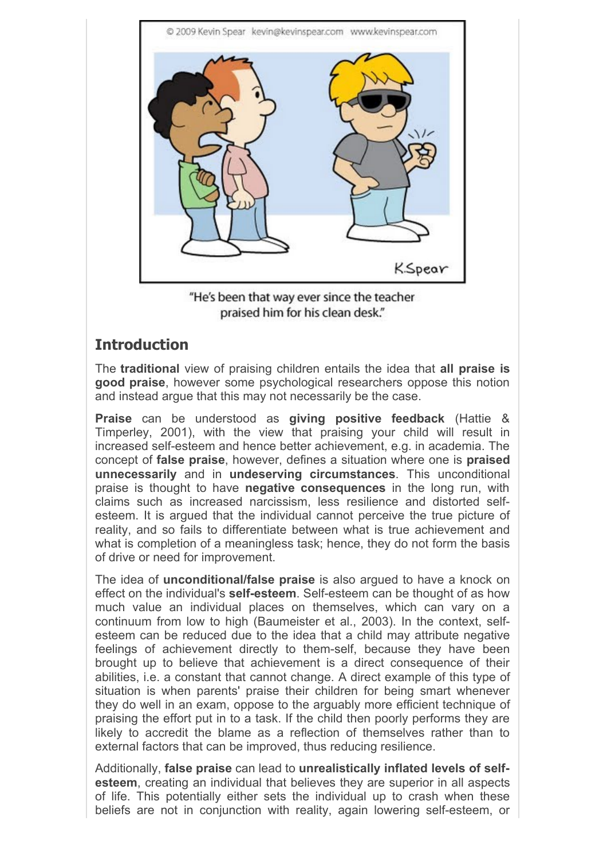

"He's been that way ever since the teacher praised him for his clean desk."

### **Introduction**

The **traditional** view of praising children entails the idea that **all praise is good praise**, however some psychological researchers oppose this notion and instead argue that this may not necessarily be the case.

**Praise** can be understood as **giving positive feedback** (Hattie & Timperley, 2001), with the view that praising your child will result in increased self-esteem and hence better achievement, e.g. in academia. The concept of **false praise**, however, defines a situation where one is **praised unnecessarily** and in **undeserving circumstances**. This unconditional praise is thought to have **negative consequences** in the long run, with claims such as increased narcissism, less resilience and distorted selfesteem. It is argued that the individual cannot perceive the true picture of reality, and so fails to differentiate between what is true achievement and what is completion of a meaningless task; hence, they do not form the basis of drive or need for improvement.

The idea of **unconditional/false praise** is also argued to have a knock on effect on the individual's **self-esteem**. Self-esteem can be thought of as how much value an individual places on themselves, which can vary on a continuum from low to high (Baumeister et al., 2003). In the context, selfesteem can be reduced due to the idea that a child may attribute negative feelings of achievement directly to them-self, because they have been brought up to believe that achievement is a direct consequence of their abilities, i.e. a constant that cannot change. A direct example of this type of situation is when parents' praise their children for being smart whenever they do well in an exam, oppose to the arguably more efficient technique of praising the effort put in to a task. If the child then poorly performs they are likely to accredit the blame as a reflection of themselves rather than to external factors that can be improved, thus reducing resilience.

Additionally, **false praise** can lead to **unrealistically inflated levels of selfesteem**, creating an individual that believes they are superior in all aspects of life. This potentially either sets the individual up to crash when these beliefs are not in conjunction with reality, again lowering self-esteem, or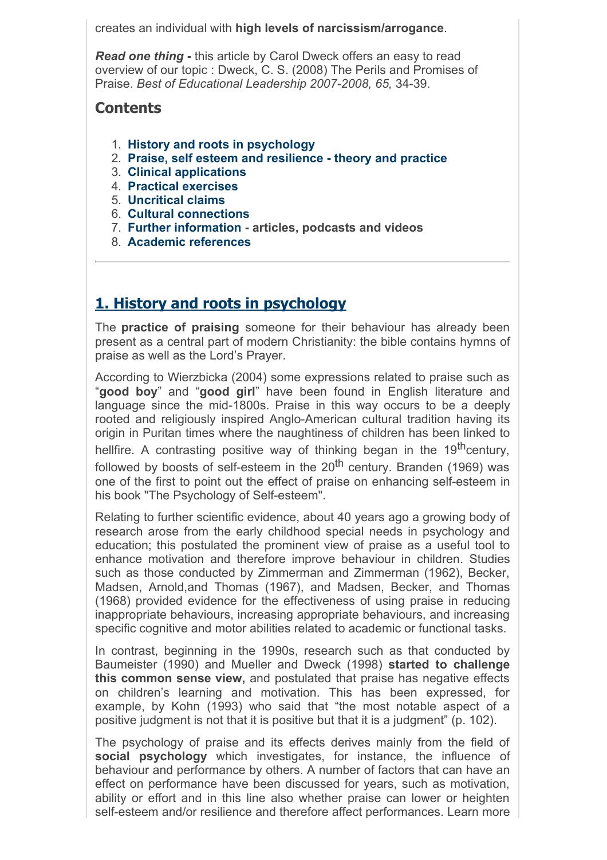creates an individual with **high levels of narcissism/arrogance**.

*Read one thing* - this article by Carol Dweck offers an easy to read overview of our topic : Dweck, C. S. (2008) The Perils and Promises of Praise. *Best of Educational Leadership 2007-2008, 65,* 34-39.

#### **Contents**

- 1. **History and roots in psychology**
- 2. **Praise, self esteem and resilience theory and practice**
- 3. **Clinical applications**
- 4. **Practical exercises**
- 5. **Uncritical claims**
- 6. **Cultural connections**
- 7. **Further information articles, podcasts and videos**
- 8. **Academic references**

### **1. History and roots in psychology**

The **practice of praising** someone for their behaviour has already been present as a central part of modern Christianity: the bible contains hymns of praise as well as the Lord's Prayer.

According to Wierzbicka (2004) some expressions related to praise such as "**good boy**" and "**good girl**" have been found in English literature and language since the mid-1800s. Praise in this way occurs to be a deeply rooted and religiously inspired Anglo-American cultural tradition having its origin in Puritan times where the naughtiness of children has been linked to hellfire. A contrasting positive way of thinking began in the  $19<sup>th</sup>$ century, followed by boosts of self-esteem in the  $20<sup>th</sup>$  century. Branden (1969) was one of the first to point out the effect of praise on enhancing self-esteem in his book "The Psychology of Self-esteem".

Relating to further scientific evidence, about 40 years ago a growing body of research arose from the early childhood special needs in psychology and education; this postulated the prominent view of praise as a useful tool to enhance motivation and therefore improve behaviour in children. Studies such as those conducted by Zimmerman and Zimmerman (1962), Becker, Madsen, Arnold,and Thomas (1967), and Madsen, Becker, and Thomas (1968) provided evidence for the effectiveness of using praise in reducing inappropriate behaviours, increasing appropriate behaviours, and increasing specific cognitive and motor abilities related to academic or functional tasks.

In contrast, beginning in the 1990s, research such as that conducted by Baumeister (1990) and Mueller and Dweck (1998) **started to challenge this common sense view,** and postulated that praise has negative effects on children's learning and motivation. This has been expressed, for example, by Kohn (1993) who said that "the most notable aspect of a positive judgment is not that it is positive but that it is a judgment" (p. 102).

The psychology of praise and its effects derives mainly from the field of **social psychology** which investigates, for instance, the influence of behaviour and performance by others. A number of factors that can have an effect on performance have been discussed for years, such as motivation, ability or effort and in this line also whether praise can lower or heighten self-esteem and/or resilience and therefore affect performances. Learn more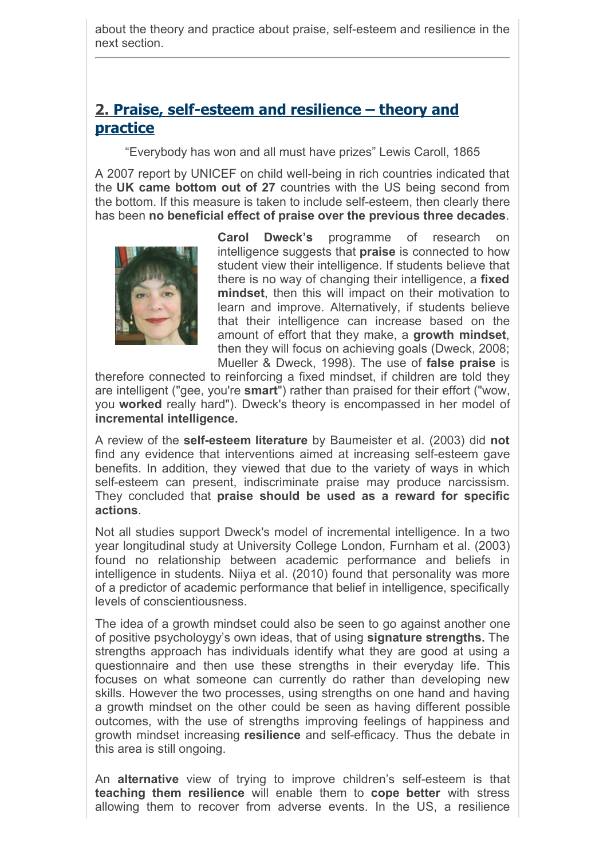about the theory and practice about praise, self-esteem and resilience in the next section.

### **2. Praise, self-esteem and resilience – theory and practice**

"Everybody has won and all must have prizes" Lewis Caroll, 1865

A 2007 report by UNICEF on child well-being in rich countries indicated that the **UK came bottom out of 27** countries with the US being second from the bottom. If this measure is taken to include self-esteem, then clearly there has been **no beneficial effect of praise over the previous three decades**.



**Carol Dweck's** programme of research on intelligence suggests that **praise** is connected to how student view their intelligence. If students believe that there is no way of changing their intelligence, a **fixed mindset**, then this will impact on their motivation to learn and improve. Alternatively, if students believe that their intelligence can increase based on the amount of effort that they make, a **growth mindset**, then they will focus on achieving goals (Dweck, 2008; Mueller & Dweck, 1998). The use of **false praise** is

therefore connected to reinforcing a fixed mindset, if children are told they are intelligent ("gee, you're **smart**") rather than praised for their effort ("wow, you **worked** really hard"). Dweck's theory is encompassed in her model of **incremental intelligence.**

A review of the **self-esteem literature** by Baumeister et al. (2003) did **not** find any evidence that interventions aimed at increasing self-esteem gave benefits. In addition, they viewed that due to the variety of ways in which self-esteem can present, indiscriminate praise may produce narcissism. They concluded that **praise should be used as a reward for specific actions**.

Not all studies support Dweck's model of incremental intelligence. In a two year longitudinal study at University College London, Furnham et al. (2003) found no relationship between academic performance and beliefs in intelligence in students. Niiya et al. (2010) found that personality was more of a predictor of academic performance that belief in intelligence, specifically levels of conscientiousness.

The idea of a growth mindset could also be seen to go against another one of positive psycholoygy's own ideas, that of using **signature strengths.** The strengths approach has individuals identify what they are good at using a questionnaire and then use these strengths in their everyday life. This focuses on what someone can currently do rather than developing new skills. However the two processes, using strengths on one hand and having a growth mindset on the other could be seen as having different possible outcomes, with the use of strengths improving feelings of happiness and growth mindset increasing **resilience** and self-efficacy. Thus the debate in this area is still ongoing.

An **alternative** view of trying to improve children's self-esteem is that **teaching them resilience** will enable them to **cope better** with stress allowing them to recover from adverse events. In the US, a resilience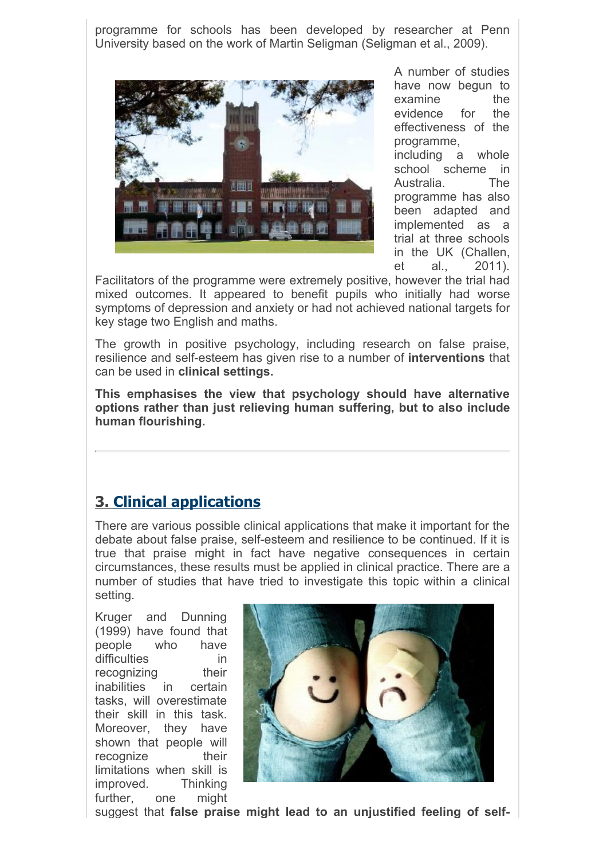programme for schools has been developed by researcher at Penn University based on the work of Martin Seligman (Seligman et al., 2009).



A number of studies have now begun to examine the evidence for the effectiveness of the programme, including a whole school scheme in Australia. The programme has also been adapted and implemented as a trial at three schools in the UK (Challen, et al., 2011).

Facilitators of the programme were extremely positive, however the trial had mixed outcomes. It appeared to benefit pupils who initially had worse symptoms of depression and anxiety or had not achieved national targets for key stage two English and maths.

The growth in positive psychology, including research on false praise, resilience and self-esteem has given rise to a number of **interventions** that can be used in **clinical settings.**

**This emphasises the view that psychology should have alternative options rather than just relieving human suffering, but to also include human flourishing.**

### **3. Clinical applications**

There are various possible clinical applications that make it important for the debate about false praise, self-esteem and resilience to be continued. If it is true that praise might in fact have negative consequences in certain circumstances, these results must be applied in clinical practice. There are a number of studies that have tried to investigate this topic within a clinical setting.

Kruger and Dunning (1999) have found that people who have difficulties in recognizing their inabilities in certain tasks, will overestimate their skill in this task. Moreover, they have shown that people will recognize their limitations when skill is improved. Thinking further, one might



suggest that **false praise might lead to an unjustified feeling of self-**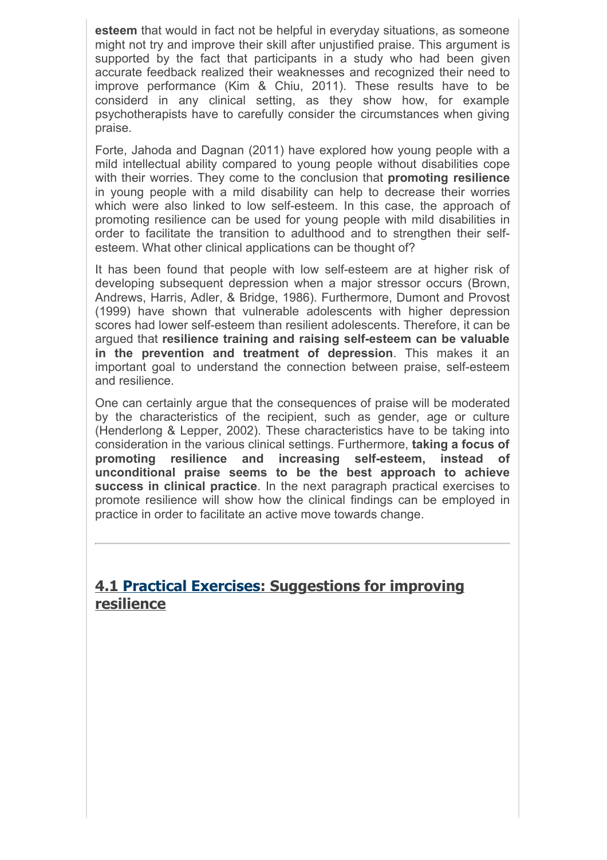**esteem** that would in fact not be helpful in everyday situations, as someone might not try and improve their skill after unjustified praise. This argument is supported by the fact that participants in a study who had been given accurate feedback realized their weaknesses and recognized their need to improve performance (Kim & Chiu, 2011). These results have to be considerd in any clinical setting, as they show how, for example psychotherapists have to carefully consider the circumstances when giving praise.

Forte, Jahoda and Dagnan (2011) have explored how young people with a mild intellectual ability compared to young people without disabilities cope with their worries. They come to the conclusion that **promoting resilience** in young people with a mild disability can help to decrease their worries which were also linked to low self-esteem. In this case, the approach of promoting resilience can be used for young people with mild disabilities in order to facilitate the transition to adulthood and to strengthen their selfesteem. What other clinical applications can be thought of?

It has been found that people with low self-esteem are at higher risk of developing subsequent depression when a major stressor occurs (Brown, Andrews, Harris, Adler, & Bridge, 1986). Furthermore, Dumont and Provost (1999) have shown that vulnerable adolescents with higher depression scores had lower self-esteem than resilient adolescents. Therefore, it can be argued that **resilience training and raising self-esteem can be valuable in the prevention and treatment of depression**. This makes it an important goal to understand the connection between praise, self-esteem and resilience.

One can certainly argue that the consequences of praise will be moderated by the characteristics of the recipient, such as gender, age or culture (Henderlong & Lepper, 2002). These characteristics have to be taking into consideration in the various clinical settings. Furthermore, **taking a focus of promoting resilience and increasing self-esteem, instead of unconditional praise seems to be the best approach to achieve success in clinical practice**. In the next paragraph practical exercises to promote resilience will show how the clinical findings can be employed in practice in order to facilitate an active move towards change.

#### **4.1 Practical Exercises: Suggestions for improving resilience**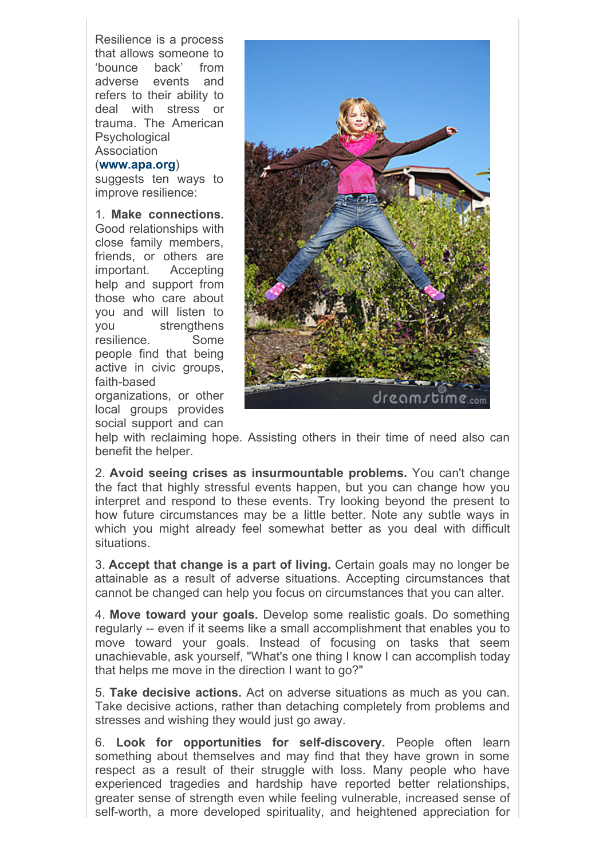Resilience is a process that allows someone to 'bounce back' from adverse events and refers to their ability to deal with stress or trauma. The American **Psychological** Association

#### (**www.apa.org**)

suggests ten ways to improve resilience:

1. **Make connections.** Good relationships with close family members, friends, or others are important. Accepting help and support from those who care about you and will listen to you strengthens resilience. Some people find that being active in civic groups, faith-based organizations, or other

local groups provides social support and can



help with reclaiming hope. Assisting others in their time of need also can benefit the helper.

2. **Avoid seeing crises as insurmountable problems.** You can't change the fact that highly stressful events happen, but you can change how you interpret and respond to these events. Try looking beyond the present to how future circumstances may be a little better. Note any subtle ways in which you might already feel somewhat better as you deal with difficult situations.

3. **Accept that change is a part of living.** Certain goals may no longer be attainable as a result of adverse situations. Accepting circumstances that cannot be changed can help you focus on circumstances that you can alter.

4. **Move toward your goals.** Develop some realistic goals. Do something regularly -- even if it seems like a small accomplishment that enables you to move toward your goals. Instead of focusing on tasks that seem unachievable, ask yourself, "What's one thing I know I can accomplish today that helps me move in the direction I want to go?"

5. **Take decisive actions.** Act on adverse situations as much as you can. Take decisive actions, rather than detaching completely from problems and stresses and wishing they would just go away.

6. **Look for opportunities for self-discovery.** People often learn something about themselves and may find that they have grown in some respect as a result of their struggle with loss. Many people who have experienced tragedies and hardship have reported better relationships, greater sense of strength even while feeling vulnerable, increased sense of self-worth, a more developed spirituality, and heightened appreciation for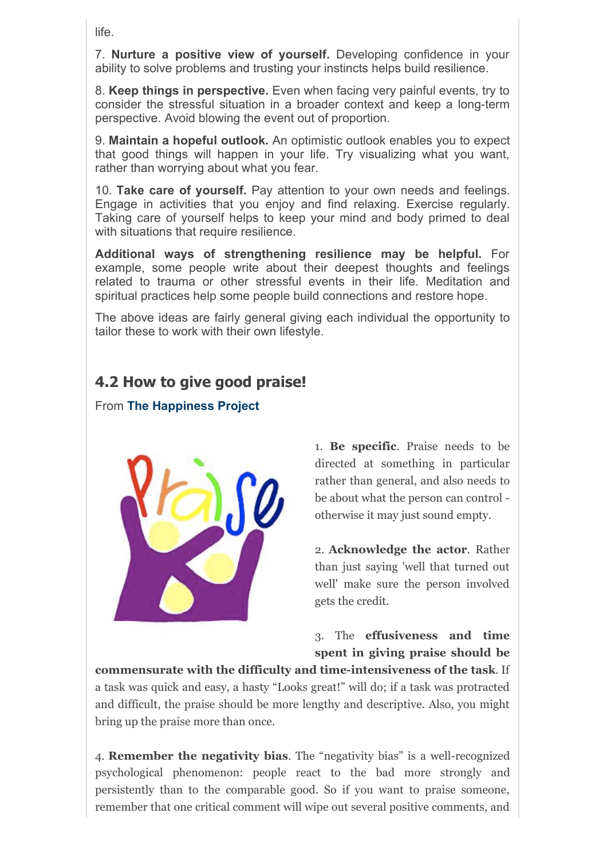life.

7. **Nurture a positive view of yourself.** Developing confidence in your ability to solve problems and trusting your instincts helps build resilience.

8. **Keep things in perspective.** Even when facing very painful events, try to consider the stressful situation in a broader context and keep a long-term perspective. Avoid blowing the event out of proportion.

9. **Maintain a hopeful outlook.** An optimistic outlook enables you to expect that good things will happen in your life. Try visualizing what you want, rather than worrying about what you fear.

10. **Take care of yourself.** Pay attention to your own needs and feelings. Engage in activities that you enjoy and find relaxing. Exercise regularly. Taking care of yourself helps to keep your mind and body primed to deal with situations that require resilience.

**Additional ways of strengthening resilience may be helpful.** For example, some people write about their deepest thoughts and feelings related to trauma or other stressful events in their life. Meditation and spiritual practices help some people build connections and restore hope.

The above ideas are fairly general giving each individual the opportunity to tailor these to work with their own lifestyle.

#### **4.2 How to give good praise!**





1. **Be specific**. Praise needs to be directed at something in particular rather than general, and also needs to be about what the person can control otherwise it may just sound empty.

2. **Acknowledge the actor**. Rather than just saying 'well that turned out well' make sure the person involved gets the credit.

3. The **effusiveness and time spent in giving praise should be**

**commensurate with the difficulty and time-intensiveness of the task**. If a task was quick and easy, a hasty "Looks great!" will do; if a task was protracted and difficult, the praise should be more lengthy and descriptive. Also, you might bring up the praise more than once.

4. **Remember the negativity bias**. The "negativity bias" is a well-recognized psychological phenomenon: people react to the bad more strongly and persistently than to the comparable good. So if you want to praise someone, remember that one critical comment will wipe out several positive comments, and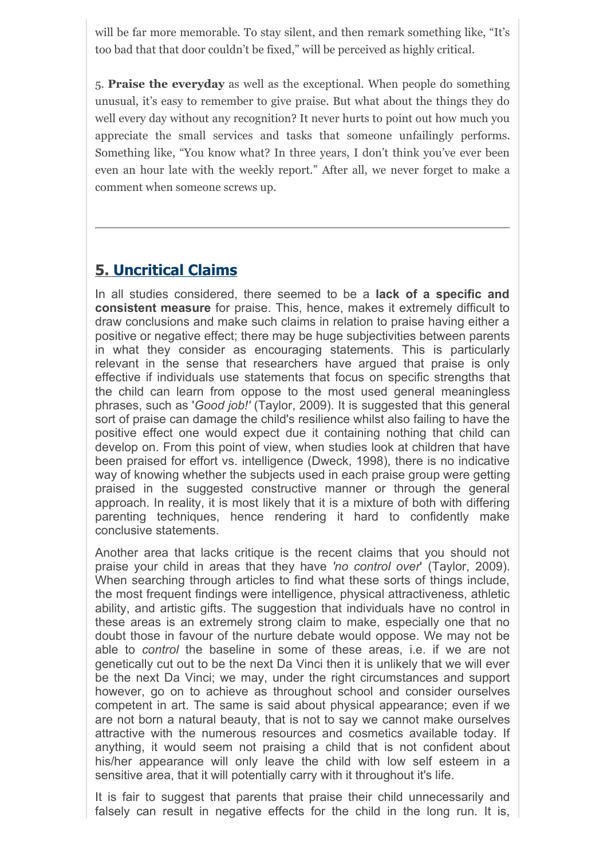will be far more memorable. To stay silent, and then remark something like, "It's too bad that that door couldn't be fixed," will be perceived as highly critical.

5. **Praise the everyday** as well as the exceptional. When people do something unusual, it's easy to remember to give praise. But what about the things they do well every day without any recognition? It never hurts to point out how much you appreciate the small services and tasks that someone unfailingly performs. Something like, "You know what? In three years, I don't think you've ever been even an hour late with the weekly report." After all, we never forget to make a comment when someone screws up.

# **5. Uncritical Claims**

In all studies considered, there seemed to be a **lack of a specific and consistent measure** for praise. This, hence, makes it extremely difficult to draw conclusions and make such claims in relation to praise having either a positive or negative effect; there may be huge subjectivities between parents in what they consider as encouraging statements. This is particularly relevant in the sense that researchers have argued that praise is only effective if individuals use statements that focus on specific strengths that the child can learn from oppose to the most used general meaningless phrases, such as '*Good job!'* (Taylor, 2009). It is suggested that this general sort of praise can damage the child's resilience whilst also failing to have the positive effect one would expect due it containing nothing that child can develop on. From this point of view, when studies look at children that have been praised for effort vs. intelligence (Dweck, 1998), there is no indicative way of knowing whether the subjects used in each praise group were getting praised in the suggested constructive manner or through the general approach. In reality, it is most likely that it is a mixture of both with differing parenting techniques, hence rendering it hard to confidently make conclusive statements.

Another area that lacks critique is the recent claims that you should not praise your child in areas that they have *'no control over*' (Taylor, 2009). When searching through articles to find what these sorts of things include, the most frequent findings were intelligence, physical attractiveness, athletic ability, and artistic gifts. The suggestion that individuals have no control in these areas is an extremely strong claim to make, especially one that no doubt those in favour of the nurture debate would oppose. We may not be able to *control* the baseline in some of these areas, i.e. if we are not genetically cut out to be the next Da Vinci then it is unlikely that we will ever be the next Da Vinci; we may, under the right circumstances and support however, go on to achieve as throughout school and consider ourselves competent in art. The same is said about physical appearance; even if we are not born a natural beauty, that is not to say we cannot make ourselves attractive with the numerous resources and cosmetics available today. If anything, it would seem not praising a child that is not confident about his/her appearance will only leave the child with low self esteem in a sensitive area, that it will potentially carry with it throughout it's life.

It is fair to suggest that parents that praise their child unnecessarily and falsely can result in negative effects for the child in the long run. It is,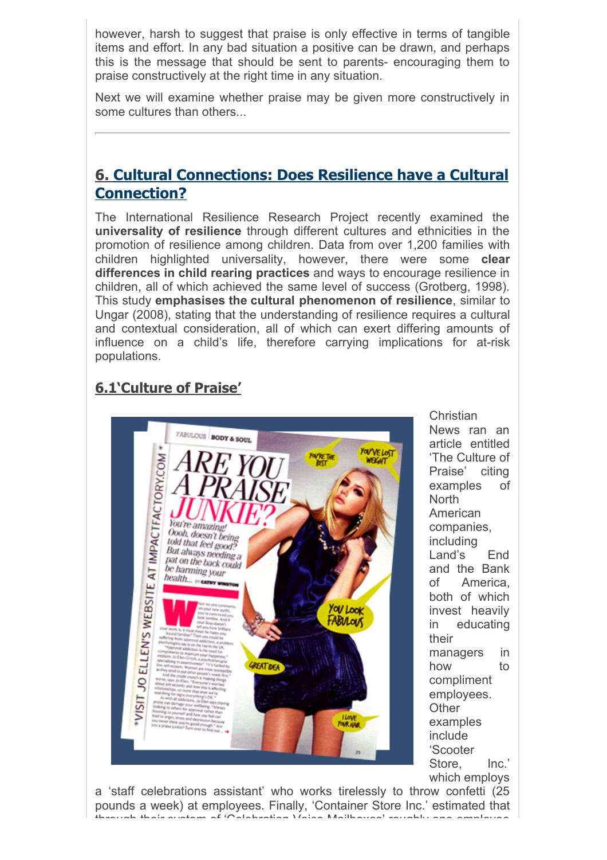however, harsh to suggest that praise is only effective in terms of tangible items and effort. In any bad situation a positive can be drawn, and perhaps this is the message that should be sent to parents- encouraging them to praise constructively at the right time in any situation.

Next we will examine whether praise may be given more constructively in some cultures than others...

### **6. Cultural Connections: Does Resilience have a Cultural Connection?**

The International Resilience Research Project recently examined the **universality of resilience** through different cultures and ethnicities in the promotion of resilience among children. Data from over 1,200 families with children highlighted universality, however, there were some **clear differences in child rearing practices** and ways to encourage resilience in children, all of which achieved the same level of success (Grotberg, 1998). This study **emphasises the cultural phenomenon of resilience**, similar to Ungar (2008), stating that the understanding of resilience requires a cultural and contextual consideration, all of which can exert differing amounts of influence on a child's life, therefore carrying implications for at-risk populations.

### **6.1'Culture of Praise'**



**Christian** News ran an article entitled 'The Culture of Praise' citing examples of North American companies, including Land's End and the Bank of America, both of which invest heavily in educating their managers in how to compliment employees. **Other** examples include 'Scooter Store, Inc.' which employs

a 'staff celebrations assistant' who works tirelessly to throw confetti (25 pounds a week) at employees. Finally, 'Container Store Inc.' estimated that through their system of 'Celebration Voice Mailboxes' roughly one employee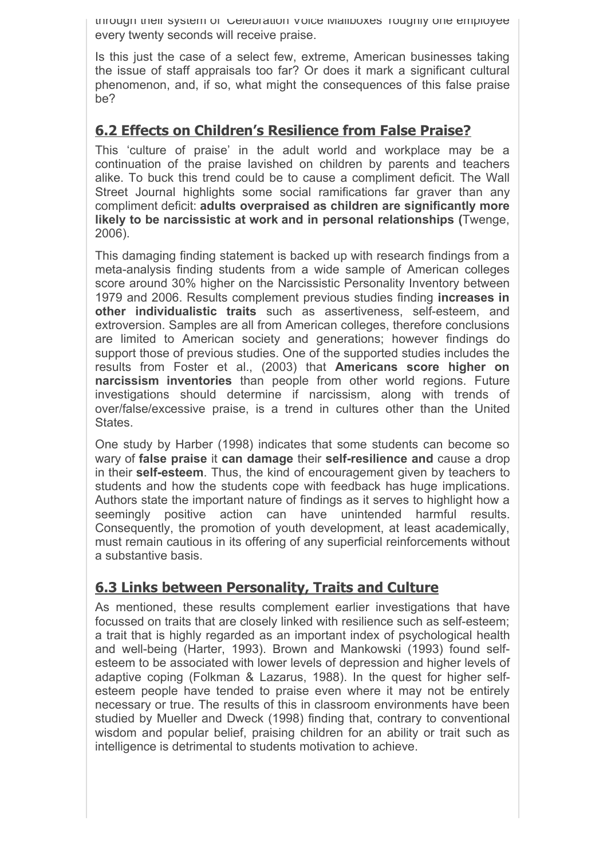through their system of 'Celebration Voice Mailboxes' roughly one employee every twenty seconds will receive praise.

Is this just the case of a select few, extreme, American businesses taking the issue of staff appraisals too far? Or does it mark a significant cultural phenomenon, and, if so, what might the consequences of this false praise be?

### **6.2 Effects on Children's Resilience from False Praise?**

This 'culture of praise' in the adult world and workplace may be a continuation of the praise lavished on children by parents and teachers alike. To buck this trend could be to cause a compliment deficit. The Wall Street Journal highlights some social ramifications far graver than any compliment deficit: **adults overpraised as children are significantly more likely to be narcissistic at work and in personal relationships (**Twenge, 2006).

This damaging finding statement is backed up with research findings from a meta-analysis finding students from a wide sample of American colleges score around 30% higher on the Narcissistic Personality Inventory between 1979 and 2006. Results complement previous studies finding **increases in other individualistic traits** such as assertiveness, self-esteem, and extroversion. Samples are all from American colleges, therefore conclusions are limited to American society and generations; however findings do support those of previous studies. One of the supported studies includes the results from Foster et al., (2003) that **Americans score higher on narcissism inventories** than people from other world regions. Future investigations should determine if narcissism, along with trends of over/false/excessive praise, is a trend in cultures other than the United States.

One study by Harber (1998) indicates that some students can become so wary of **false praise** it **can damage** their **self-resilience and** cause a drop in their **self-esteem**. Thus, the kind of encouragement given by teachers to students and how the students cope with feedback has huge implications. Authors state the important nature of findings as it serves to highlight how a seemingly positive action can have unintended harmful results. Consequently, the promotion of youth development, at least academically, must remain cautious in its offering of any superficial reinforcements without a substantive basis.

### **6.3 Links between Personality, Traits and Culture**

As mentioned, these results complement earlier investigations that have focussed on traits that are closely linked with resilience such as self-esteem; a trait that is highly regarded as an important index of psychological health and well-being (Harter, 1993). Brown and Mankowski (1993) found selfesteem to be associated with lower levels of depression and higher levels of adaptive coping (Folkman & Lazarus, 1988). In the quest for higher selfesteem people have tended to praise even where it may not be entirely necessary or true. The results of this in classroom environments have been studied by Mueller and Dweck (1998) finding that, contrary to conventional wisdom and popular belief, praising children for an ability or trait such as intelligence is detrimental to students motivation to achieve.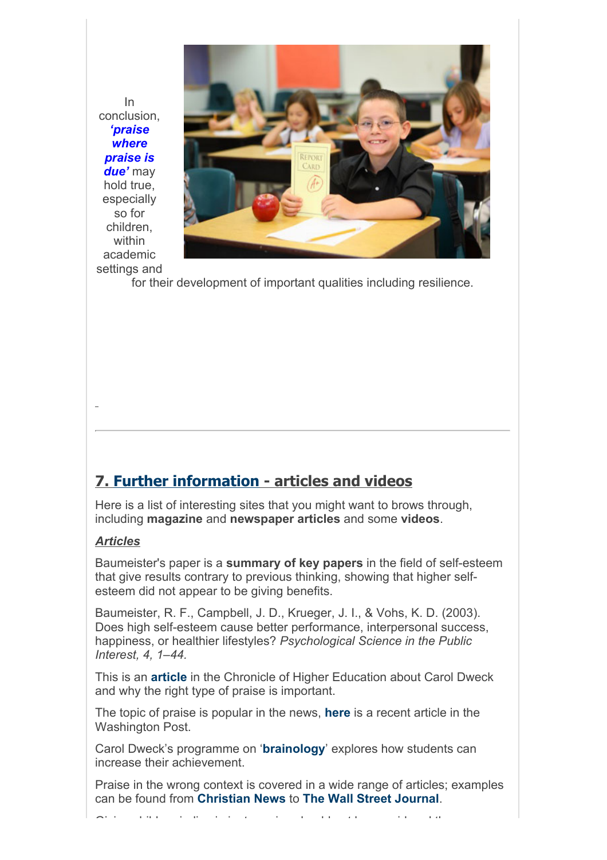In conclusion, *'praise where praise is due'* may hold true, especially so for children, within academic settings and



for their development of important qualities including resilience.

### **7. Further information - articles and videos**

Here is a list of interesting sites that you might want to brows through, including **magazine** and **newspaper articles** and some **videos**.

#### *Articles*

Baumeister's paper is a **summary of key papers** in the field of self-esteem that give results contrary to previous thinking, showing that higher selfesteem did not appear to be giving benefits.

Baumeister, R. F., Campbell, J. D., Krueger, J. I., & Vohs, K. D. (2003). Does high self-esteem cause better performance, interpersonal success, happiness, or healthier lifestyles? *Psychological Science in the Public Interest, 4, 1–44.*

This is an **article** in the Chronicle of Higher Education about Carol Dweck and why the right type of praise is important.

The topic of praise is popular in the news, **here** is a recent article in the Washington Post.

Carol Dweck's programme on '**brainology**' explores how students can increase their achievement.

Giving children indiscriminate praise should not be considered the same as

Praise in the wrong context is covered in a wide range of articles; examples can be found from **Christian News** to **The Wall Street Journal**.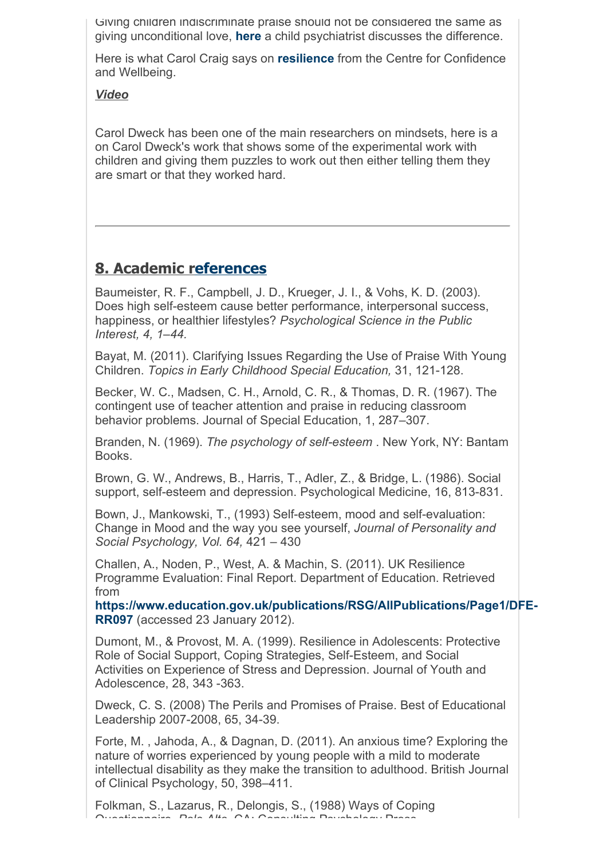Giving children indiscriminate praise should not be considered the same as giving unconditional love, **here** a child psychiatrist discusses the difference.

Here is what Carol Craig says on **resilience** from the Centre for Confidence and Wellbeing.

*Video*

Carol Dweck has been one of the main researchers on mindsets, here is a on Carol Dweck's work that shows some of the experimental work with children and giving them puzzles to work out then either telling them they are smart or that they worked hard.

# **8. Academic references**

Baumeister, R. F., Campbell, J. D., Krueger, J. I., & Vohs, K. D. (2003). Does high self-esteem cause better performance, interpersonal success, happiness, or healthier lifestyles? *Psychological Science in the Public Interest, 4, 1–44.*

Bayat, M. (2011). Clarifying Issues Regarding the Use of Praise With Young Children. *Topics in Early Childhood Special Education,* 31, 121-128.

Becker, W. C., Madsen, C. H., Arnold, C. R., & Thomas, D. R. (1967). The contingent use of teacher attention and praise in reducing classroom behavior problems. Journal of Special Education, 1, 287–307.

Branden, N. (1969). *The psychology of self-esteem* . New York, NY: Bantam **Books** 

Brown, G. W., Andrews, B., Harris, T., Adler, Z., & Bridge, L. (1986). Social support, self-esteem and depression. Psychological Medicine, 16, 813-831.

Bown, J., Mankowski, T., (1993) Self-esteem, mood and self-evaluation: Change in Mood and the way you see yourself, *Journal of Personality and Social Psychology, Vol. 64,* 421 – 430

Challen, A., Noden, P., West, A. & Machin, S. (2011). UK Resilience Programme Evaluation: Final Report. Department of Education. Retrieved from

**https://www.education.gov.uk/publications/RSG/AllPublications/Page1/DFE-RR097** (accessed 23 January 2012).

Dumont, M., & Provost, M. A. (1999). Resilience in Adolescents: Protective Role of Social Support, Coping Strategies, Self-Esteem, and Social Activities on Experience of Stress and Depression. Journal of Youth and Adolescence, 28, 343 -363.

Dweck, C. S. (2008) The Perils and Promises of Praise. Best of Educational Leadership 2007-2008, 65, 34-39.

Forte, M. , Jahoda, A., & Dagnan, D. (2011). An anxious time? Exploring the nature of worries experienced by young people with a mild to moderate intellectual disability as they make the transition to adulthood. British Journal of Clinical Psychology, 50, 398–411.

Folkman, S., Lazarus, R., Delongis, S., (1988) Ways of Coping Questionnaire*, Palo Alto,* CA: Consulting Psychology Press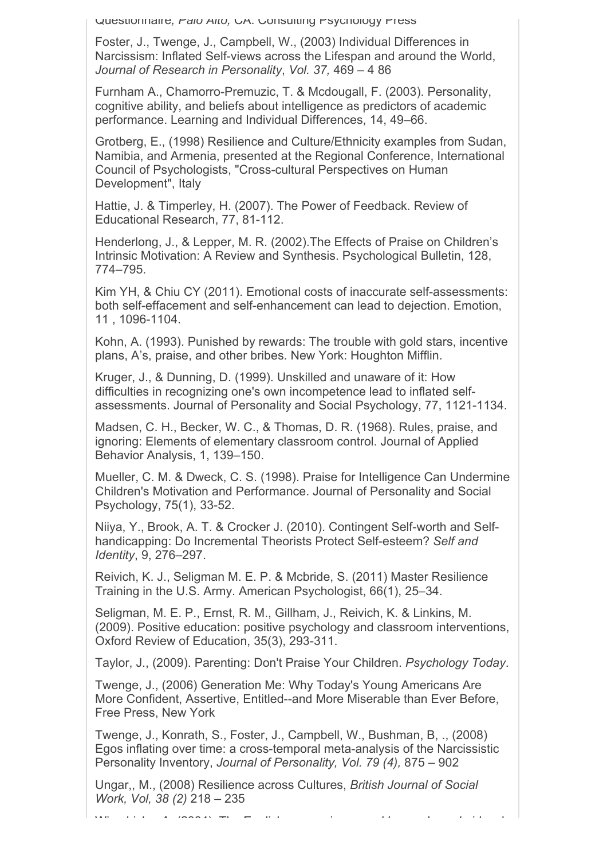Questionnaire*, Palo Alto,* CA: Consulting Psychology Press

Foster, J., Twenge, J., Campbell, W., (2003) Individual Differences in Narcissism: Inflated Self-views across the Lifespan and around the World, *Journal of Research in Personality*, *Vol. 37,* 469 – 4 86

Furnham A., Chamorro-Premuzic, T. & Mcdougall, F. (2003). Personality, cognitive ability, and beliefs about intelligence as predictors of academic performance. Learning and Individual Differences, 14, 49–66.

Grotberg, E., (1998) Resilience and Culture/Ethnicity examples from Sudan, Namibia, and Armenia, presented at the Regional Conference, International Council of Psychologists, "Cross-cultural Perspectives on Human Development", Italy

Hattie, J. & Timperley, H. (2007). The Power of Feedback. Review of Educational Research, 77, 81-112.

Henderlong, J., & Lepper, M. R. (2002).The Effects of Praise on Children's Intrinsic Motivation: A Review and Synthesis. Psychological Bulletin, 128, 774–795.

Kim YH, & Chiu CY (2011). Emotional costs of inaccurate self-assessments: both self-effacement and self-enhancement can lead to dejection. Emotion, 11 , 1096-1104.

Kohn, A. (1993). Punished by rewards: The trouble with gold stars, incentive plans, A's, praise, and other bribes. New York: Houghton Mifflin.

Kruger, J., & Dunning, D. (1999). Unskilled and unaware of it: How difficulties in recognizing one's own incompetence lead to inflated selfassessments. Journal of Personality and Social Psychology, 77, 1121-1134.

Madsen, C. H., Becker, W. C., & Thomas, D. R. (1968). Rules, praise, and ignoring: Elements of elementary classroom control. Journal of Applied Behavior Analysis, 1, 139–150.

Mueller, C. M. & Dweck, C. S. (1998). Praise for Intelligence Can Undermine Children's Motivation and Performance. Journal of Personality and Social Psychology, 75(1), 33-52.

Niiya, Y., Brook, A. T. & Crocker J. (2010). Contingent Self-worth and Selfhandicapping: Do Incremental Theorists Protect Self-esteem? *Self and Identity*, 9, 276–297.

Reivich, K. J., Seligman M. E. P. & Mcbride, S. (2011) Master Resilience Training in the U.S. Army. American Psychologist, 66(1), 25–34.

Seligman, M. E. P., Ernst, R. M., Gillham, J., Reivich, K. & Linkins, M. (2009). Positive education: positive psychology and classroom interventions, Oxford Review of Education, 35(3), 293-311.

Taylor, J., (2009). Parenting: Don't Praise Your Children. *Psychology Today*.

Twenge, J., (2006) Generation Me: Why Today's Young Americans Are More Confident, Assertive, Entitled--and More Miserable than Ever Before, Free Press, New York

Twenge, J., Konrath, S., Foster, J., Campbell, W., Bushman, B, ., (2008) Egos inflating over time: a cross-temporal meta-analysis of the Narcissistic Personality Inventory, *Journal of Personality, Vol. 79 (4),* 875 – 902

Ungar,, M., (2008) Resilience across Cultures, *British Journal of Social Work, Vol, 38 (2)* 218 – 235

Wierzbicka, A. (2004). The English expressions *good boy* and *good girl* and